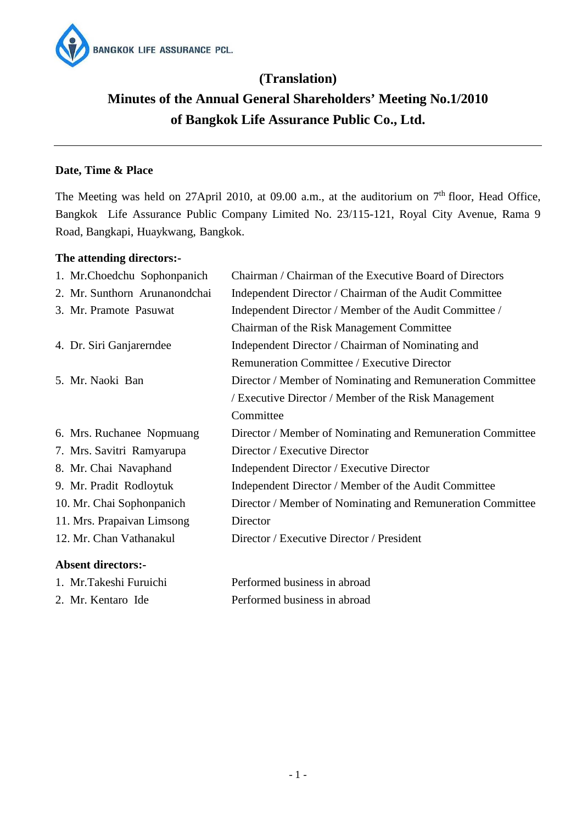

# **(Translation) Minutes of the Annual General Shareholders' Meeting No.1/2010 of Bangkok Life Assurance Public Co., Ltd.**

# **Date, Time & Place**

The Meeting was held on 27April 2010, at 09.00 a.m., at the auditorium on  $7<sup>th</sup>$  floor, Head Office, Bangkok Life Assurance Public Company Limited No. 23/115-121, Royal City Avenue, Rama 9 Road, Bangkapi, Huaykwang, Bangkok.

# **The attending directors:-**

1. Mr.Takeshi Furuichi

2. Mr. Kentaro Ide

| 1. Mr.Choedchu Sophonpanich   | Chairman / Chairman of the Executive Board of Directors    |
|-------------------------------|------------------------------------------------------------|
| 2. Mr. Sunthorn Arunanondchai | Independent Director / Chairman of the Audit Committee     |
| 3. Mr. Pramote Pasuwat        | Independent Director / Member of the Audit Committee /     |
|                               | Chairman of the Risk Management Committee                  |
| 4. Dr. Siri Ganjarerndee      | Independent Director / Chairman of Nominating and          |
|                               | Remuneration Committee / Executive Director                |
| 5. Mr. Naoki Ban              | Director / Member of Nominating and Remuneration Committee |
|                               | / Executive Director / Member of the Risk Management       |
|                               | Committee                                                  |
| 6. Mrs. Ruchanee Nopmuang     | Director / Member of Nominating and Remuneration Committee |
| 7. Mrs. Savitri Ramyarupa     | Director / Executive Director                              |
| 8. Mr. Chai Navaphand         | Independent Director / Executive Director                  |
| 9. Mr. Pradit Rodloytuk       | Independent Director / Member of the Audit Committee       |
| 10. Mr. Chai Sophonpanich     | Director / Member of Nominating and Remuneration Committee |
| 11. Mrs. Prapaivan Limsong    | Director                                                   |
| 12. Mr. Chan Vathanakul       | Director / Executive Director / President                  |
| <b>Absent directors:-</b>     |                                                            |

| Performed business in abroad |  |  |
|------------------------------|--|--|
| Performed business in abroad |  |  |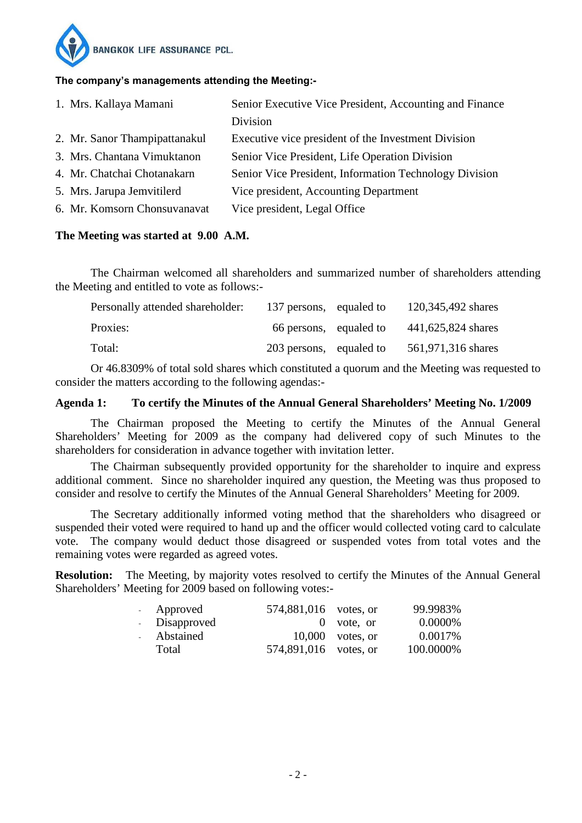

#### **The company's managements attending the Meeting:-**

| 1. Mrs. Kallaya Mamani        | Senior Executive Vice President, Accounting and Finance |
|-------------------------------|---------------------------------------------------------|
|                               | Division                                                |
| 2. Mr. Sanor Thampipattanakul | Executive vice president of the Investment Division     |
| 3. Mrs. Chantana Vimuktanon   | Senior Vice President, Life Operation Division          |
| 4. Mr. Chatchai Chotanakarn   | Senior Vice President, Information Technology Division  |
| 5. Mrs. Jarupa Jemvitilerd    | Vice president, Accounting Department                   |
| 6. Mr. Komsorn Chonsuvanavat  | Vice president, Legal Office                            |

#### **The Meeting was started at 9.00 A.M.**

 The Chairman welcomed all shareholders and summarized number of shareholders attending the Meeting and entitled to vote as follows:-

| Personally attended shareholder: | 137 persons, equaled to | 120,345,492 shares |
|----------------------------------|-------------------------|--------------------|
| Proxies:                         | 66 persons, equaled to  | 441,625,824 shares |
| Total:                           | 203 persons, equaled to | 561,971,316 shares |

 Or 46.8309% of total sold shares which constituted a quorum and the Meeting was requested to consider the matters according to the following agendas:-

#### **Agenda 1: To certify the Minutes of the Annual General Shareholders' Meeting No. 1/2009**

 The Chairman proposed the Meeting to certify the Minutes of the Annual General Shareholders' Meeting for 2009 as the company had delivered copy of such Minutes to the shareholders for consideration in advance together with invitation letter.

 The Chairman subsequently provided opportunity for the shareholder to inquire and express additional comment. Since no shareholder inquired any question, the Meeting was thus proposed to consider and resolve to certify the Minutes of the Annual General Shareholders' Meeting for 2009.

 The Secretary additionally informed voting method that the shareholders who disagreed or suspended their voted were required to hand up and the officer would collected voting card to calculate vote. The company would deduct those disagreed or suspended votes from total votes and the remaining votes were regarded as agreed votes.

**Resolution:** The Meeting, by majority votes resolved to certify the Minutes of the Annual General Shareholders' Meeting for 2009 based on following votes:-

| - Approved    | 574,881,016 votes, or |                    | 99.9983%  |
|---------------|-----------------------|--------------------|-----------|
| - Disapproved |                       | $0$ vote, or       | 0.0000\%  |
| - Abstained   |                       | $10,000$ votes, or | 0.0017%   |
| Total         | 574,891,016 votes, or |                    | 100.0000% |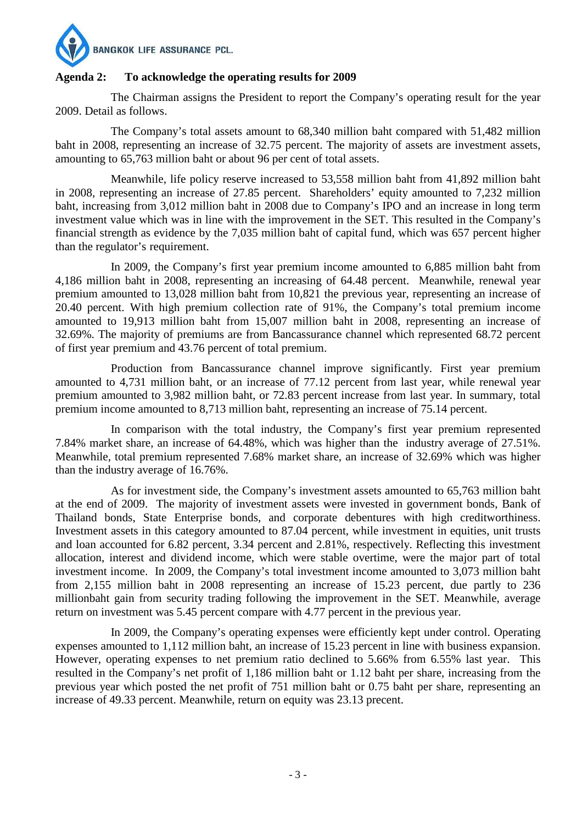

# **Agenda 2: To acknowledge the operating results for 2009**

The Chairman assigns the President to report the Company's operating result for the year 2009. Detail as follows.

The Company's total assets amount to 68,340 million baht compared with 51,482 million baht in 2008, representing an increase of 32.75 percent. The majority of assets are investment assets, amounting to 65,763 million baht or about 96 per cent of total assets.

Meanwhile, life policy reserve increased to 53,558 million baht from 41,892 million baht in 2008, representing an increase of 27.85 percent. Shareholders' equity amounted to 7,232 million baht, increasing from 3,012 million baht in 2008 due to Company's IPO and an increase in long term investment value which was in line with the improvement in the SET. This resulted in the Company's financial strength as evidence by the 7,035 million baht of capital fund, which was 657 percent higher than the regulator's requirement.

In 2009, the Company's first year premium income amounted to 6,885 million baht from 4,186 million baht in 2008, representing an increasing of 64.48 percent. Meanwhile, renewal year premium amounted to 13,028 million baht from 10,821 the previous year, representing an increase of 20.40 percent. With high premium collection rate of 91%, the Company's total premium income amounted to 19,913 million baht from 15,007 million baht in 2008, representing an increase of 32.69%. The majority of premiums are from Bancassurance channel which represented 68.72 percent of first year premium and 43.76 percent of total premium.

Production from Bancassurance channel improve significantly. First year premium amounted to 4,731 million baht, or an increase of 77.12 percent from last year, while renewal year premium amounted to 3,982 million baht, or 72.83 percent increase from last year. In summary, total premium income amounted to 8,713 million baht, representing an increase of 75.14 percent.

In comparison with the total industry, the Company's first year premium represented 7.84% market share, an increase of 64.48%, which was higher than the industry average of 27.51%. Meanwhile, total premium represented 7.68% market share, an increase of 32.69% which was higher than the industry average of 16.76%.

As for investment side, the Company's investment assets amounted to 65,763 million baht at the end of 2009. The majority of investment assets were invested in government bonds, Bank of Thailand bonds, State Enterprise bonds, and corporate debentures with high creditworthiness. Investment assets in this category amounted to 87.04 percent, while investment in equities, unit trusts and loan accounted for 6.82 percent, 3.34 percent and 2.81%, respectively. Reflecting this investment allocation, interest and dividend income, which were stable overtime, were the major part of total investment income. In 2009, the Company's total investment income amounted to 3,073 million baht from 2,155 million baht in 2008 representing an increase of 15.23 percent, due partly to 236 millionbaht gain from security trading following the improvement in the SET. Meanwhile, average return on investment was 5.45 percent compare with 4.77 percent in the previous year.

In 2009, the Company's operating expenses were efficiently kept under control. Operating expenses amounted to 1,112 million baht, an increase of 15.23 percent in line with business expansion. However, operating expenses to net premium ratio declined to 5.66% from 6.55% last year. This resulted in the Company's net profit of 1,186 million baht or 1.12 baht per share, increasing from the previous year which posted the net profit of 751 million baht or 0.75 baht per share, representing an increase of 49.33 percent. Meanwhile, return on equity was 23.13 precent.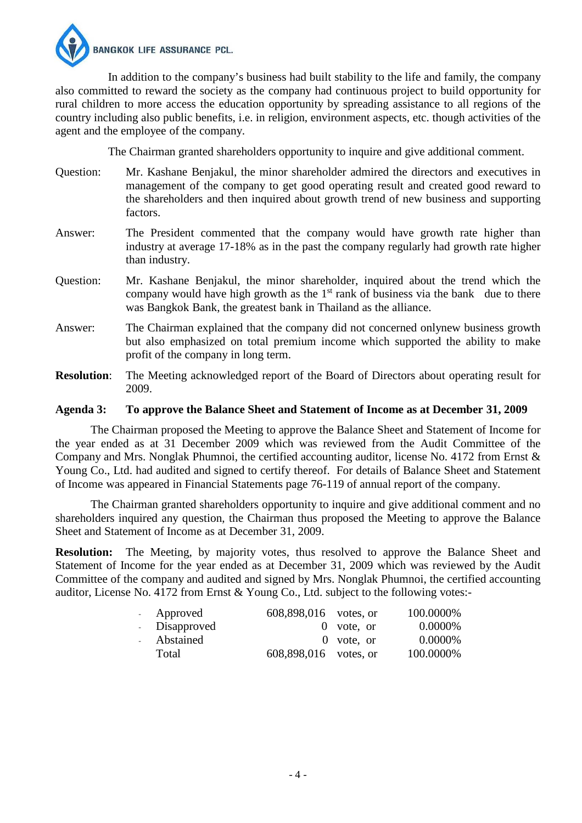

In addition to the company's business had built stability to the life and family, the company also committed to reward the society as the company had continuous project to build opportunity for rural children to more access the education opportunity by spreading assistance to all regions of the country including also public benefits, i.e. in religion, environment aspects, etc. though activities of the agent and the employee of the company.

The Chairman granted shareholders opportunity to inquire and give additional comment.

- Question: Mr. Kashane Benjakul, the minor shareholder admired the directors and executives in management of the company to get good operating result and created good reward to the shareholders and then inquired about growth trend of new business and supporting factors.
- Answer: The President commented that the company would have growth rate higher than industry at average 17-18% as in the past the company regularly had growth rate higher than industry.
- Question: Mr. Kashane Benjakul, the minor shareholder, inquired about the trend which the company would have high growth as the  $1<sup>st</sup>$  rank of business via the bank due to there was Bangkok Bank, the greatest bank in Thailand as the alliance.
- Answer: The Chairman explained that the company did not concerned onlynew business growth but also emphasized on total premium income which supported the ability to make profit of the company in long term.
- **Resolution**: The Meeting acknowledged report of the Board of Directors about operating result for 2009.

#### **Agenda 3: To approve the Balance Sheet and Statement of Income as at December 31, 2009**

 The Chairman proposed the Meeting to approve the Balance Sheet and Statement of Income for the year ended as at 31 December 2009 which was reviewed from the Audit Committee of the Company and Mrs. Nonglak Phumnoi, the certified accounting auditor, license No. 4172 from Ernst & Young Co., Ltd. had audited and signed to certify thereof. For details of Balance Sheet and Statement of Income was appeared in Financial Statements page 76-119 of annual report of the company.

 The Chairman granted shareholders opportunity to inquire and give additional comment and no shareholders inquired any question, the Chairman thus proposed the Meeting to approve the Balance Sheet and Statement of Income as at December 31, 2009.

**Resolution:** The Meeting, by majority votes, thus resolved to approve the Balance Sheet and Statement of Income for the year ended as at December 31, 2009 which was reviewed by the Audit Committee of the company and audited and signed by Mrs. Nonglak Phumnoi, the certified accounting auditor, License No. 4172 from Ernst & Young Co., Ltd. subject to the following votes:-

| - Approved    | 608,898,016 votes, or |              | 100.0000% |
|---------------|-----------------------|--------------|-----------|
| - Disapproved |                       | $0$ vote, or | 0.0000\%  |
| Abstained     |                       | $0$ vote, or | 0.0000\%  |
| Total         | 608,898,016 votes, or |              | 100.0000% |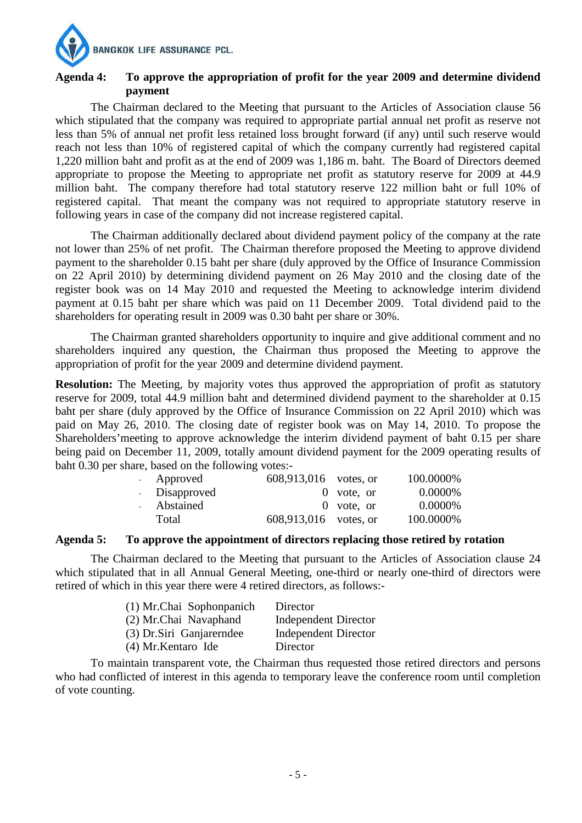**BANGKOK LIFE ASSURANCE PCL.** 

# **Agenda 4: To approve the appropriation of profit for the year 2009 and determine dividend payment**

 The Chairman declared to the Meeting that pursuant to the Articles of Association clause 56 which stipulated that the company was required to appropriate partial annual net profit as reserve not less than 5% of annual net profit less retained loss brought forward (if any) until such reserve would reach not less than 10% of registered capital of which the company currently had registered capital 1,220 million baht and profit as at the end of 2009 was 1,186 m. baht. The Board of Directors deemed appropriate to propose the Meeting to appropriate net profit as statutory reserve for 2009 at 44.9 million baht. The company therefore had total statutory reserve 122 million baht or full 10% of registered capital. That meant the company was not required to appropriate statutory reserve in following years in case of the company did not increase registered capital.

 The Chairman additionally declared about dividend payment policy of the company at the rate not lower than 25% of net profit. The Chairman therefore proposed the Meeting to approve dividend payment to the shareholder 0.15 baht per share (duly approved by the Office of Insurance Commission on 22 April 2010) by determining dividend payment on 26 May 2010 and the closing date of the register book was on 14 May 2010 and requested the Meeting to acknowledge interim dividend payment at 0.15 baht per share which was paid on 11 December 2009. Total dividend paid to the shareholders for operating result in 2009 was 0.30 baht per share or 30%.

 The Chairman granted shareholders opportunity to inquire and give additional comment and no shareholders inquired any question, the Chairman thus proposed the Meeting to approve the appropriation of profit for the year 2009 and determine dividend payment.

**Resolution:** The Meeting, by majority votes thus approved the appropriation of profit as statutory reserve for 2009, total 44.9 million baht and determined dividend payment to the shareholder at 0.15 baht per share (duly approved by the Office of Insurance Commission on 22 April 2010) which was paid on May 26, 2010. The closing date of register book was on May 14, 2010. To propose the Shareholders'meeting to approve acknowledge the interim dividend payment of baht 0.15 per share being paid on December 11, 2009, totally amount dividend payment for the 2009 operating results of baht 0.30 per share, based on the following votes:-

|                    | - Approved    | 608,913,016 votes, or |              | 100.0000% |
|--------------------|---------------|-----------------------|--------------|-----------|
|                    | - Disapproved |                       | $0$ vote, or | 0.0000%   |
| $\Delta \sim 10^4$ | Abstained     |                       | $0$ vote, or | 0.0000%   |
|                    | Total         | 608,913,016 votes, or |              | 100.0000% |

### **Agenda 5: To approve the appointment of directors replacing those retired by rotation**

 The Chairman declared to the Meeting that pursuant to the Articles of Association clause 24 which stipulated that in all Annual General Meeting, one-third or nearly one-third of directors were retired of which in this year there were 4 retired directors, as follows:-

| (1) Mr.Chai Sophonpanich  | Director                    |
|---------------------------|-----------------------------|
| (2) Mr.Chai Navaphand     | <b>Independent Director</b> |
| (3) Dr. Siri Ganjarerndee | Independent Director        |
| (4) Mr. Kentaro Ide       | Director                    |

 To maintain transparent vote, the Chairman thus requested those retired directors and persons who had conflicted of interest in this agenda to temporary leave the conference room until completion of vote counting.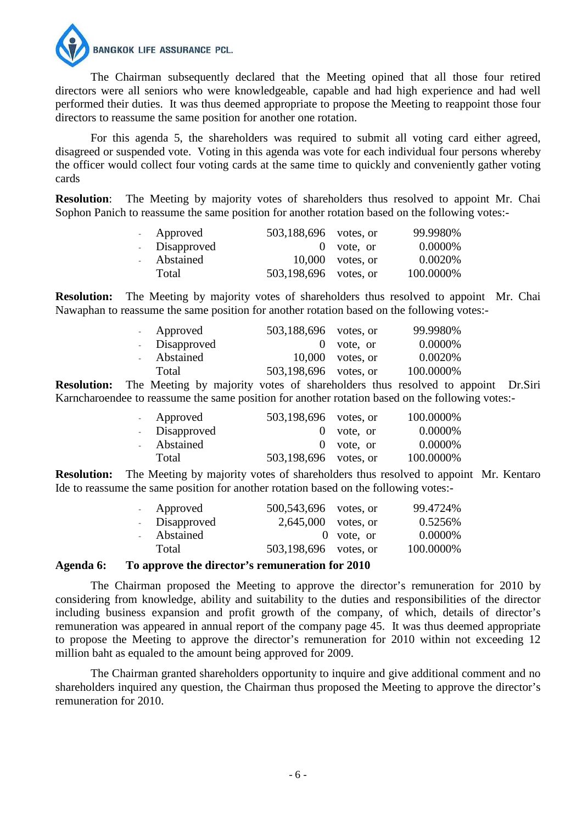

 The Chairman subsequently declared that the Meeting opined that all those four retired directors were all seniors who were knowledgeable, capable and had high experience and had well performed their duties. It was thus deemed appropriate to propose the Meeting to reappoint those four directors to reassume the same position for another one rotation.

 For this agenda 5, the shareholders was required to submit all voting card either agreed, disagreed or suspended vote. Voting in this agenda was vote for each individual four persons whereby the officer would collect four voting cards at the same time to quickly and conveniently gather voting cards

**Resolution:** The Meeting by majority votes of shareholders thus resolved to appoint Mr. Chai Sophon Panich to reassume the same position for another rotation based on the following votes:-

| - Approved    | 503,188,696 votes, or |                    | 99.9980%  |
|---------------|-----------------------|--------------------|-----------|
| - Disapproved |                       | $0$ vote, or       | 0.0000\%  |
| - Abstained   |                       | $10,000$ votes, or | 0.0020\%  |
| Total         | 503,198,696 votes, or |                    | 100.0000% |

**Resolution:** The Meeting by majority votes of shareholders thus resolved to appoint Mr. Chai Nawaphan to reassume the same position for another rotation based on the following votes:-

| - Approved    | 503,188,696 votes, or |                    | 99.9980%  |
|---------------|-----------------------|--------------------|-----------|
| - Disapproved |                       | $0$ vote, or       | 0.0000%   |
| - Abstained   |                       | $10,000$ votes, or | 0.0020%   |
| Total         | 503,198,696 votes, or |                    | 100.0000% |

**Resolution:** The Meeting by majority votes of shareholders thus resolved to appoint Dr.Siri Karncharoendee to reassume the same position for another rotation based on the following votes:-

|                       | - Approved    | 503,198,696 votes, or |              | 100.0000% |
|-----------------------|---------------|-----------------------|--------------|-----------|
|                       | - Disapproved |                       | $0$ vote, or | 0.0000%   |
| $\Delta \sim 10^{-1}$ | Abstained     |                       | $0$ vote, or | 0.0000%   |
|                       | Total         | 503,198,696 votes, or |              | 100.0000% |

**Resolution:** The Meeting by majority votes of shareholders thus resolved to appoint Mr. Kentaro Ide to reassume the same position for another rotation based on the following votes:-

| - Approved    | 500, 543, 696 votes, or |              | 99.4724%  |
|---------------|-------------------------|--------------|-----------|
| - Disapproved | $2,645,000$ votes, or   |              | 0.5256%   |
| - Abstained   |                         | $0$ vote, or | 0.0000%   |
| Total         | 503,198,696 votes, or   |              | 100.0000% |

#### **Agenda 6: To approve the director's remuneration for 2010**

 The Chairman proposed the Meeting to approve the director's remuneration for 2010 by considering from knowledge, ability and suitability to the duties and responsibilities of the director including business expansion and profit growth of the company, of which, details of director's remuneration was appeared in annual report of the company page 45. It was thus deemed appropriate to propose the Meeting to approve the director's remuneration for 2010 within not exceeding 12 million baht as equaled to the amount being approved for 2009.

 The Chairman granted shareholders opportunity to inquire and give additional comment and no shareholders inquired any question, the Chairman thus proposed the Meeting to approve the director's remuneration for 2010.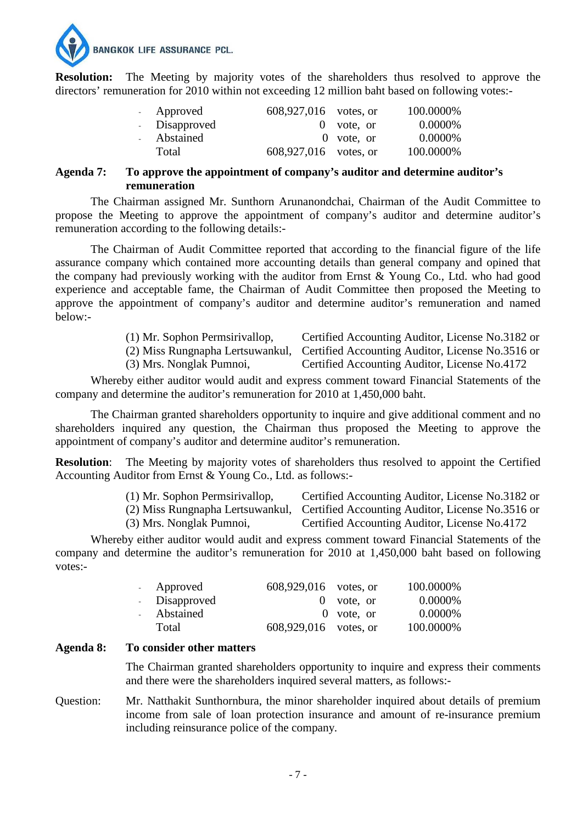**BANGKOK LIFE ASSURANCE PCL.** 

**Resolution:** The Meeting by majority votes of the shareholders thus resolved to approve the directors' remuneration for 2010 within not exceeding 12 million baht based on following votes:-

| - Approved    | 608,927,016 votes, or |              | 100.0000% |
|---------------|-----------------------|--------------|-----------|
| - Disapproved |                       | $0$ vote, or | 0.0000\%  |
| - Abstained   |                       | $0$ vote, or | 0.0000%   |
| Total         | 608,927,016 votes, or |              | 100.0000% |

#### **Agenda 7: To approve the appointment of company's auditor and determine auditor's remuneration**

 The Chairman assigned Mr. Sunthorn Arunanondchai, Chairman of the Audit Committee to propose the Meeting to approve the appointment of company's auditor and determine auditor's remuneration according to the following details:-

 The Chairman of Audit Committee reported that according to the financial figure of the life assurance company which contained more accounting details than general company and opined that the company had previously working with the auditor from Ernst & Young Co., Ltd. who had good experience and acceptable fame, the Chairman of Audit Committee then proposed the Meeting to approve the appointment of company's auditor and determine auditor's remuneration and named below:-

| (1) Mr. Sophon Permsirivallop, | Certified Accounting Auditor, License No.3182 or                                   |
|--------------------------------|------------------------------------------------------------------------------------|
|                                | (2) Miss Rungnapha Lertsuwankul, Certified Accounting Auditor, License No. 3516 or |
| (3) Mrs. Nonglak Pumnoi,       | Certified Accounting Auditor, License No.4172                                      |

 Whereby either auditor would audit and express comment toward Financial Statements of the company and determine the auditor's remuneration for 2010 at 1,450,000 baht.

 The Chairman granted shareholders opportunity to inquire and give additional comment and no shareholders inquired any question, the Chairman thus proposed the Meeting to approve the appointment of company's auditor and determine auditor's remuneration.

**Resolution:** The Meeting by majority votes of shareholders thus resolved to appoint the Certified Accounting Auditor from Ernst & Young Co., Ltd. as follows:-

| (1) Mr. Sophon Permsirivallop, | Certified Accounting Auditor, License No.3182 or                                   |
|--------------------------------|------------------------------------------------------------------------------------|
|                                | (2) Miss Rungnapha Lertsuwankul, Certified Accounting Auditor, License No. 3516 or |
| (3) Mrs. Nonglak Pumnoi,       | Certified Accounting Auditor, License No.4172                                      |

 Whereby either auditor would audit and express comment toward Financial Statements of the company and determine the auditor's remuneration for 2010 at 1,450,000 baht based on following votes:-

| - Approved    | 608,929,016 votes, or |              | 100.0000% |
|---------------|-----------------------|--------------|-----------|
| - Disapproved |                       | $0$ vote, or | 0.0000\%  |
| Abstained     |                       | $0$ vote, or | 0.0000\%  |
| Total         | 608,929,016 votes, or |              | 100.0000% |

#### **Agenda 8: To consider other matters**

The Chairman granted shareholders opportunity to inquire and express their comments and there were the shareholders inquired several matters, as follows:-

Question: Mr. Natthakit Sunthornbura, the minor shareholder inquired about details of premium income from sale of loan protection insurance and amount of re-insurance premium including reinsurance police of the company.